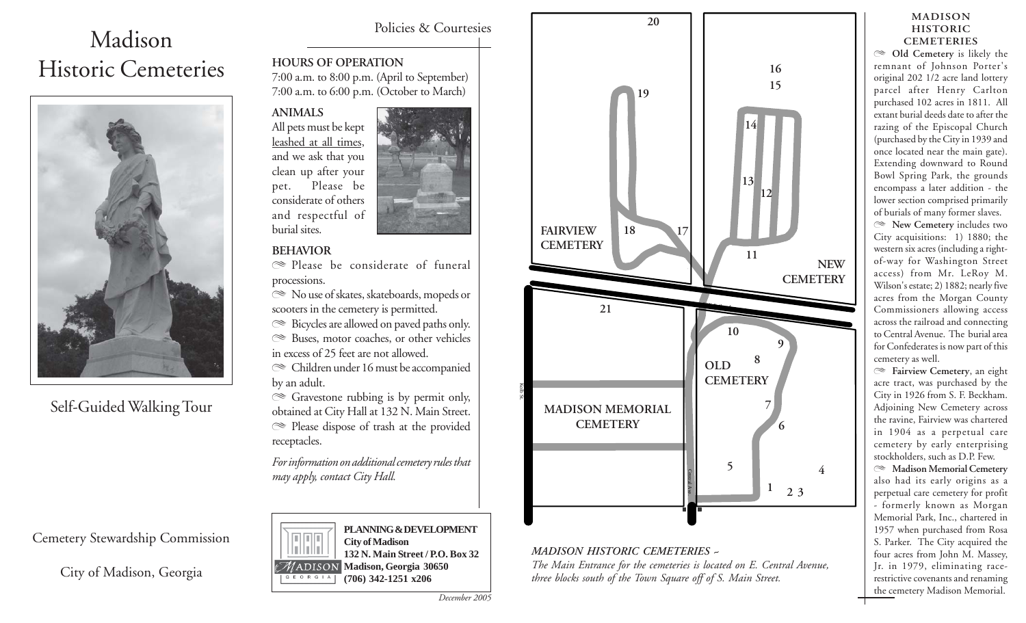# Madison Historic Cemeteries



Self-Guided Walking Tour

# **HOURS OF OPERATION**

7:00 a.m. to 8:00 p.m. (April to September) 7:00 a.m. to 6:00 p.m. (October to March)

**ANIMALS** All pets must be kept leashed at all times, and we ask that you clean up after your pet. Please be considerate of others and respectful of burial sites.



#### **BEHAVIOR**

 $\mathbb{R}$  Please be considerate of funeral processions.

 $\mathbb{R}$  No use of skates, skateboards, mopeds or scooters in the cemetery is permitted.

 $\mathcal{R}$  Bicycles are allowed on paved paths only.

 $\mathbb{R}$  Buses, motor coaches, or other vehicles in excess of 25 feet are not allowed.

 $\otimes$  Children under 16 must be accompanied by an adult.

 $\mathcal{F}$  Gravestone rubbing is by permit only, obtained at City Hall at 132 N. Main Street. ( Please dispose of trash at the provided receptacles.

*For information on additional cemetery rules that may apply, contact City Hall.*

**City of Madison**

ADISON! GEORGIA

**PLANNING & DEVELOPMENT**

**132 N. Main Street / P.O. Box 32 Madison, Georgia 30650 (706) 342-1251 x206**



City of Madison, Georgia



#### *MADISON HISTORIC CEMETERIES ~*

*The Main Entrance for the cemeteries is located on E. Central Avenue, three blocks south of the Town Square off of S. Main Street.*

#### **MADISON HISTORIC CEMETERIES**

( **Old Cemetery** is likely the remnant of Johnson Porter's original 202 1/2 acre land lottery parcel after Henry Carlton purchased 102 acres in 1811. All extant burial deeds date to after the razing of the Episcopal Church (purchased by the City in 1939 and once located near the main gate). Extending downward to Round Bowl Spring Park, the grounds encompass a later addition - the lower section comprised primarily of burials of many former slaves. ( **New Cemetery** includes two City acquisitions: 1) 1880; the western six acres (including a rightof-way for Washington Street access) from Mr. LeRoy M. Wilson's estate; 2) 1882; nearly five acres from the Morgan County Commissioners allowing access across the railroad and connecting to Central Avenue. The burial area for Confederates is now part of this cemetery as well.

( **Fairview Cemetery**, an eight acre tract, was purchased by the City in 1926 from S. F. Beckham. Adjoining New Cemetery across the ravine, Fairview was chartered in 1904 as a perpetual care cemetery by early enterprising stockholders, such as D.P. Few.

( **Madison Memorial Cemetery** also had its early origins as a perpetual care cemetery for profit - formerly known as Morgan Memorial Park, Inc., chartered in 1957 when purchased from Rosa S. Parker. The City acquired the four acres from John M. Massey, Jr. in 1979, eliminating racerestrictive covenants and renaming the cemetery Madison Memorial.